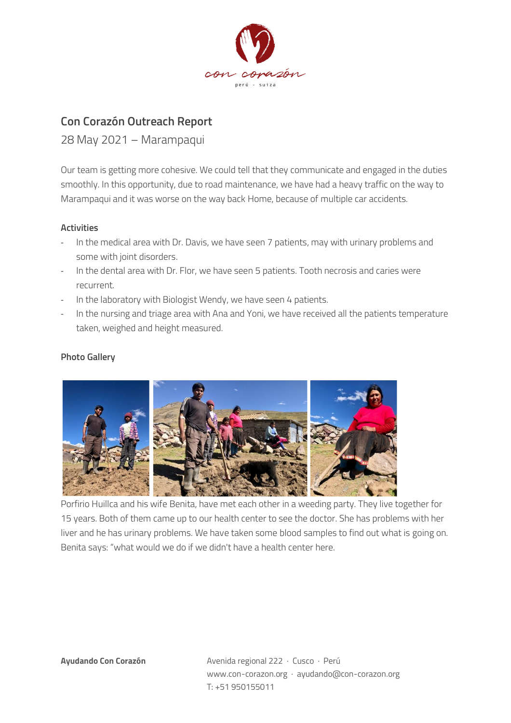

## **Con Corazón Outreach Report**

28 May 2021 – Marampaqui

Our team is getting more cohesive. We could tell that they communicate and engaged in the duties smoothly. In this opportunity, due to road maintenance, we have had a heavy traffic on the way to Marampaqui and it was worse on the way back Home, because of multiple car accidents.

## **Activities**

- In the medical area with Dr. Davis, we have seen 7 patients, may with urinary problems and some with joint disorders.
- In the dental area with Dr. Flor, we have seen 5 patients. Tooth necrosis and caries were recurrent.
- In the laboratory with Biologist Wendy, we have seen 4 patients.
- In the nursing and triage area with Ana and Yoni, we have received all the patients temperature taken, weighed and height measured.

## **Photo Gallery**



Porfirio Huillca and his wife Benita, have met each other in a weeding party. They live together for 15 years. Both of them came up to our health center to see the doctor. She has problems with her liver and he has urinary problems. We have taken some blood samples to find out what is going on. Benita says: "what would we do if we didn't have a health center here.

**Ayudando Con Corazón** Avenida regional 222 · Cusco · Perú www.con-corazon.org · ayudando@con-corazon.org T: +51 950155011